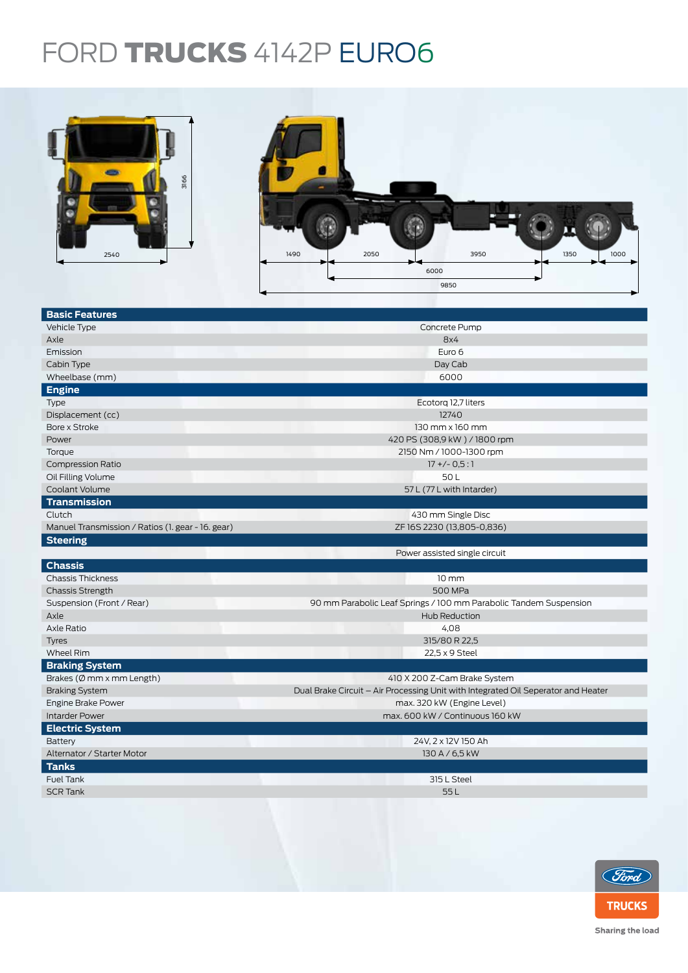## FORD TRUCKS 4142P EURO6



| 3166<br>2540                                      | 2050<br>1350<br>1490<br>3950<br>1000<br>6000<br>9850                              |  |  |  |  |
|---------------------------------------------------|-----------------------------------------------------------------------------------|--|--|--|--|
| <b>Basic Features</b>                             |                                                                                   |  |  |  |  |
| Vehicle Type                                      | Concrete Pump                                                                     |  |  |  |  |
| Axle                                              | 8x4                                                                               |  |  |  |  |
| Emission                                          | Euro 6                                                                            |  |  |  |  |
| Cabin Type                                        | Day Cab                                                                           |  |  |  |  |
| Wheelbase (mm)                                    | 6000                                                                              |  |  |  |  |
| <b>Engine</b>                                     |                                                                                   |  |  |  |  |
| Type                                              | Ecotorg 12,7 liters                                                               |  |  |  |  |
| Displacement (cc)                                 | 12740                                                                             |  |  |  |  |
| Bore x Stroke                                     | 130 mm x 160 mm                                                                   |  |  |  |  |
| Power                                             | 420 PS (308,9 kW) / 1800 rpm                                                      |  |  |  |  |
| Torque                                            | 2150 Nm / 1000-1300 rpm                                                           |  |  |  |  |
| <b>Compression Ratio</b>                          | $17 + (-0.5:1)$                                                                   |  |  |  |  |
| Oil Filling Volume                                | 50L                                                                               |  |  |  |  |
| Coolant Volume                                    | 57 L (77 L with Intarder)                                                         |  |  |  |  |
| <b>Transmission</b>                               |                                                                                   |  |  |  |  |
| Clutch                                            | 430 mm Single Disc                                                                |  |  |  |  |
| Manuel Transmission / Ratios (1. gear - 16. gear) | ZF 16S 2230 (13,805-0,836)                                                        |  |  |  |  |
| <b>Steering</b>                                   |                                                                                   |  |  |  |  |
|                                                   | Power assisted single circuit                                                     |  |  |  |  |
| <b>Chassis</b>                                    |                                                                                   |  |  |  |  |
| <b>Chassis Thickness</b>                          | $10 \, \text{mm}$                                                                 |  |  |  |  |
| <b>Chassis Strength</b>                           | 500 MPa                                                                           |  |  |  |  |
| Suspension (Front / Rear)                         | 90 mm Parabolic Leaf Springs / 100 mm Parabolic Tandem Suspension                 |  |  |  |  |
| Axle                                              | Hub Reduction                                                                     |  |  |  |  |
| Axle Ratio                                        | 4,08                                                                              |  |  |  |  |
| <b>Tyres</b>                                      | 315/80 R 22,5                                                                     |  |  |  |  |
| Wheel Rim                                         | 22,5 x 9 Steel                                                                    |  |  |  |  |
| <b>Braking System</b>                             |                                                                                   |  |  |  |  |
| Brakes (Ø mm x mm Length)                         | 410 X 200 Z-Cam Brake System                                                      |  |  |  |  |
| <b>Braking System</b>                             | Dual Brake Circuit - Air Processing Unit with Integrated Oil Seperator and Heater |  |  |  |  |
| Engine Brake Power                                | max. 320 kW (Engine Level)                                                        |  |  |  |  |
| <b>Intarder Power</b>                             | max. 600 kW / Continuous 160 kW                                                   |  |  |  |  |
| <b>Electric System</b>                            |                                                                                   |  |  |  |  |
| Battery                                           | 24V, 2 x 12V 150 Ah                                                               |  |  |  |  |
| Alternator / Starter Motor                        | 130 A / 6,5 kW                                                                    |  |  |  |  |
| <b>Tanks</b>                                      |                                                                                   |  |  |  |  |
| Fuel Tank                                         | 315 L Steel                                                                       |  |  |  |  |
| <b>SCR Tank</b>                                   | 55L                                                                               |  |  |  |  |
|                                                   |                                                                                   |  |  |  |  |



Sharing the load